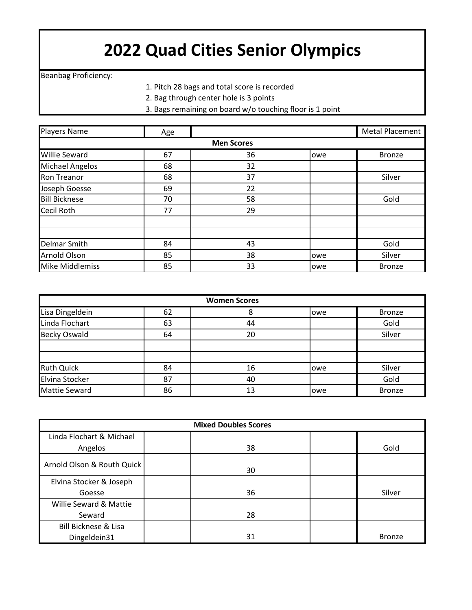## **2022 Quad Cities Senior Olympics**

Beanbag Proficiency:

- 1. Pitch 28 bags and total score is recorded
- 2. Bag through center hole is 3 points
- 3. Bags remaining on board w/o touching floor is 1 point

| <b>Players Name</b>    | Age |                   |     | Metal Placement |
|------------------------|-----|-------------------|-----|-----------------|
|                        |     | <b>Men Scores</b> |     |                 |
| <b>Willie Seward</b>   | 67  | 36                | owe | <b>Bronze</b>   |
| <b>Michael Angelos</b> | 68  | 32                |     |                 |
| <b>Ron Treanor</b>     | 68  | 37                |     | Silver          |
| Joseph Goesse          | 69  | 22                |     |                 |
| <b>Bill Bicknese</b>   | 70  | 58                |     | Gold            |
| <b>Cecil Roth</b>      | 77  | 29                |     |                 |
|                        |     |                   |     |                 |
|                        |     |                   |     |                 |
| Delmar Smith           | 84  | 43                |     | Gold            |
| <b>Arnold Olson</b>    | 85  | 38                | owe | Silver          |
| <b>Mike Middlemiss</b> | 85  | 33                | owe | <b>Bronze</b>   |

| <b>Women Scores</b>  |    |    |      |               |
|----------------------|----|----|------|---------------|
| Lisa Dingeldein      | 62 | 8  | lowe | <b>Bronze</b> |
| Linda Flochart       | 63 | 44 |      | Gold          |
| <b>Becky Oswald</b>  | 64 | 20 |      | Silver        |
|                      |    |    |      |               |
|                      |    |    |      |               |
| Ruth Quick           | 84 | 16 | lowe | Silver        |
| Elvina Stocker       | 87 | 40 |      | Gold          |
| <b>Mattie Seward</b> | 86 | 13 | lowe | <b>Bronze</b> |

| <b>Mixed Doubles Scores</b>     |    |               |  |
|---------------------------------|----|---------------|--|
| Linda Flochart & Michael        |    |               |  |
| Angelos                         | 38 | Gold          |  |
| Arnold Olson & Routh Quick      | 30 |               |  |
| Elvina Stocker & Joseph         |    |               |  |
| Goesse                          | 36 | Silver        |  |
| Willie Seward & Mattie          |    |               |  |
| Seward                          | 28 |               |  |
| <b>Bill Bicknese &amp; Lisa</b> |    |               |  |
| Dingeldein31                    | 31 | <b>Bronze</b> |  |